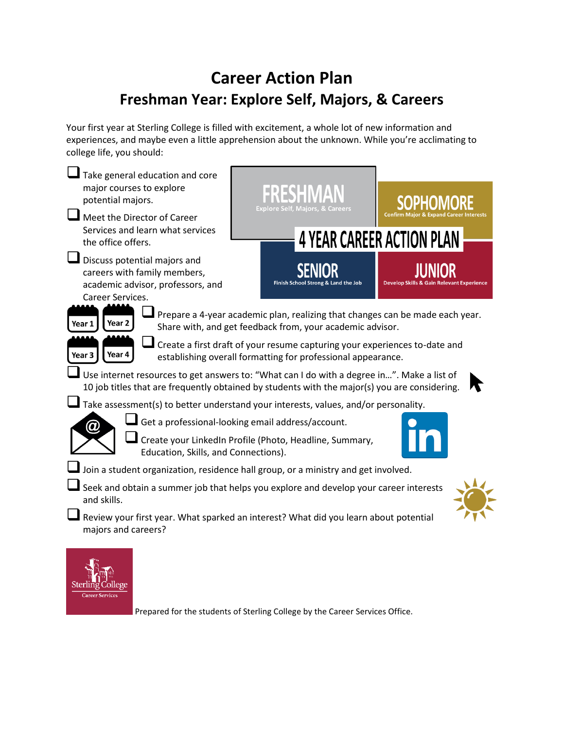## **Career Action Plan Freshman Year: Explore Self, Majors, & Careers**

Your first year at Sterling College is filled with excitement, a whole lot of new information and experiences, and maybe even a little apprehension about the unknown. While you're acclimating to college life, you should:

| Take general education and core                                                                                                                                                             |                                                   |                                                      |  |  |
|---------------------------------------------------------------------------------------------------------------------------------------------------------------------------------------------|---------------------------------------------------|------------------------------------------------------|--|--|
| major courses to explore<br>potential majors.                                                                                                                                               |                                                   |                                                      |  |  |
| Meet the Director of Career                                                                                                                                                                 | Explore Self. Majors. & Careers                   |                                                      |  |  |
| Services and learn what services<br>the office offers.                                                                                                                                      |                                                   | <b>4 YEAR CAREER ACTION PLAN</b>                     |  |  |
| ⊔<br>Discuss potential majors and<br>careers with family members,<br>academic advisor, professors, and<br>Career Services.                                                                  | Finish School Strong & Land the Job               | <b>Develop Skills &amp; Gain Relevant Experience</b> |  |  |
| l Prepare a 4-year academic plan, realizing that changes can be made each year.<br>Year <sub>2</sub><br>Year 1<br>Share with, and get feedback from, your academic advisor.                 |                                                   |                                                      |  |  |
| Create a first draft of your resume capturing your experiences to-date and<br>Year 4<br>Year 3<br>establishing overall formatting for professional appearance.                              |                                                   |                                                      |  |  |
| Use internet resources to get answers to: "What can I do with a degree in". Make a list of<br>10 job titles that are frequently obtained by students with the major(s) you are considering. |                                                   |                                                      |  |  |
| Take assessment(s) to better understand your interests, values, and/or personality.                                                                                                         |                                                   |                                                      |  |  |
| $\bm{\varpi}$                                                                                                                                                                               | Get a professional-looking email address/account. |                                                      |  |  |
| Create your LinkedIn Profile (Photo, Headline, Summary,<br>Education, Skills, and Connections).                                                                                             |                                                   |                                                      |  |  |
| Join a student organization, residence hall group, or a ministry and get involved.                                                                                                          |                                                   |                                                      |  |  |
| Seek and obtain a summer job that helps you explore and develop your career interests<br>and skills.                                                                                        |                                                   |                                                      |  |  |
| Review your first year. What sparked an interest? What did you learn about potential<br>majors and careers?                                                                                 |                                                   |                                                      |  |  |
|                                                                                                                                                                                             |                                                   |                                                      |  |  |

Prepared for the students of Sterling College by the Career Services Office.

Sterling College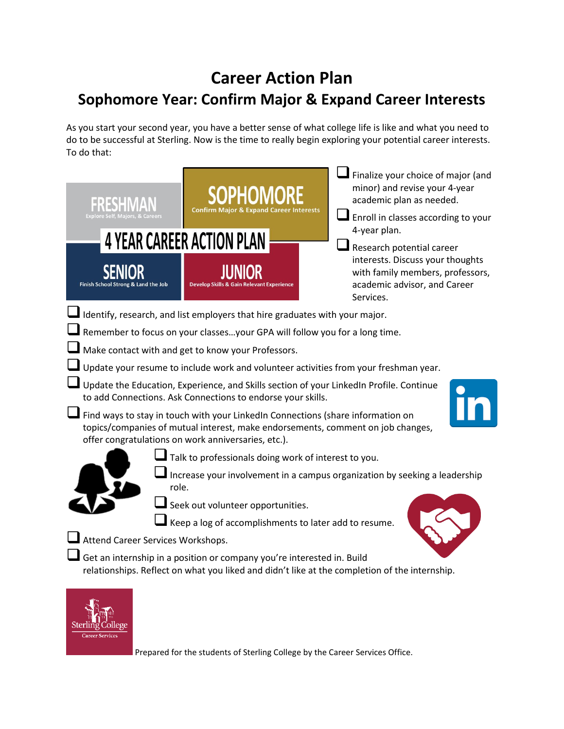## **Career Action Plan Sophomore Year: Confirm Major & Expand Career Interests**

As you start your second year, you have a better sense of what college life is like and what you need to do to be successful at Sterling. Now is the time to really begin exploring your potential career interests. To do that:

|                                                                                                                                                                                                                           | <b>Confirm Major &amp; Expand</b>                                                                                                                                       | Finalize your choice of major (and<br>minor) and revise your 4-year<br>academic plan as needed.<br>$\blacksquare$ Enroll in classes according to your |  |  |
|---------------------------------------------------------------------------------------------------------------------------------------------------------------------------------------------------------------------------|-------------------------------------------------------------------------------------------------------------------------------------------------------------------------|-------------------------------------------------------------------------------------------------------------------------------------------------------|--|--|
| 4-year plan.<br><b>4 YEAR CAREER ACTION PLAN</b><br>Research potential career                                                                                                                                             |                                                                                                                                                                         |                                                                                                                                                       |  |  |
| Finish School Strong & Land the Job                                                                                                                                                                                       | <b>Develop Skills &amp;</b>                                                                                                                                             | interests. Discuss your thoughts<br>with family members, professors,<br>academic advisor, and Career<br>Services.                                     |  |  |
| Identify, research, and list employers that hire graduates with your major.                                                                                                                                               |                                                                                                                                                                         |                                                                                                                                                       |  |  |
| Remember to focus on your classesyour GPA will follow you for a long time.                                                                                                                                                |                                                                                                                                                                         |                                                                                                                                                       |  |  |
| Make contact with and get to know your Professors.                                                                                                                                                                        |                                                                                                                                                                         |                                                                                                                                                       |  |  |
| Update your resume to include work and volunteer activities from your freshman year.                                                                                                                                      |                                                                                                                                                                         |                                                                                                                                                       |  |  |
| Update the Education, Experience, and Skills section of your LinkedIn Profile. Continue<br>to add Connections. Ask Connections to endorse your skills.                                                                    |                                                                                                                                                                         |                                                                                                                                                       |  |  |
| Find ways to stay in touch with your LinkedIn Connections (share information on<br>topics/companies of mutual interest, make endorsements, comment on job changes,<br>offer congratulations on work anniversaries, etc.). |                                                                                                                                                                         |                                                                                                                                                       |  |  |
| Talk to professionals doing work of interest to you.                                                                                                                                                                      |                                                                                                                                                                         |                                                                                                                                                       |  |  |
| Increase your involvement in a campus organization by seeking a leadership<br>role.                                                                                                                                       |                                                                                                                                                                         |                                                                                                                                                       |  |  |
| Seek out volunteer opportunities.                                                                                                                                                                                         |                                                                                                                                                                         |                                                                                                                                                       |  |  |
| Keep a log of accomplishments to later add to resume.                                                                                                                                                                     |                                                                                                                                                                         |                                                                                                                                                       |  |  |
| Attend Career Services Workshops.                                                                                                                                                                                         |                                                                                                                                                                         |                                                                                                                                                       |  |  |
|                                                                                                                                                                                                                           | Get an internship in a position or company you're interested in. Build<br>relationships. Reflect on what you liked and didn't like at the completion of the internship. |                                                                                                                                                       |  |  |
|                                                                                                                                                                                                                           |                                                                                                                                                                         |                                                                                                                                                       |  |  |



Sterlin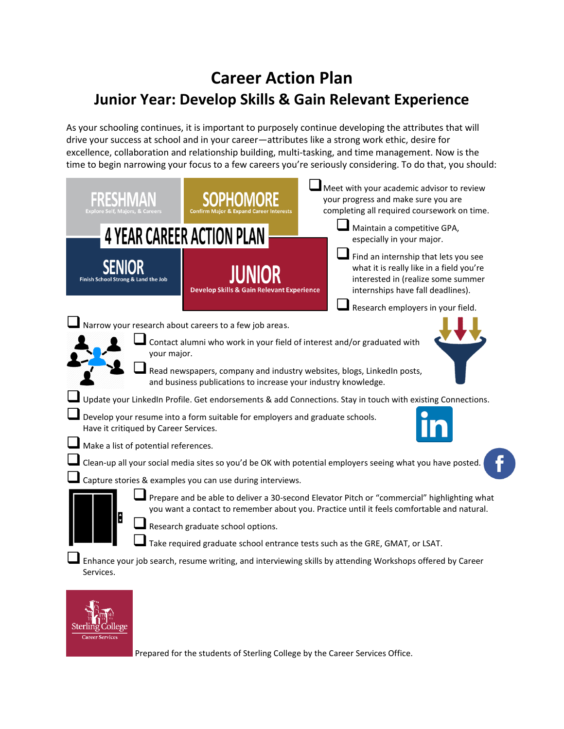## **Career Action Plan Junior Year: Develop Skills & Gain Relevant Experience**

As your schooling continues, it is important to purposely continue developing the attributes that will drive your success at school and in your career—attributes like a strong work ethic, desire for excellence, collaboration and relationship building, multi-tasking, and time management. Now is the time to begin narrowing your focus to a few careers you're seriously considering. To do that, you should:

| Explore Self. Maiors. 8                                                                                                                                                                                                             |                                                      | Meet with your academic advisor to review<br>your progress and make sure you are<br>completing all required coursework on time.                             |  |  |
|-------------------------------------------------------------------------------------------------------------------------------------------------------------------------------------------------------------------------------------|------------------------------------------------------|-------------------------------------------------------------------------------------------------------------------------------------------------------------|--|--|
|                                                                                                                                                                                                                                     | <b>4 YEAR CAREER ACTION PLAN</b>                     | Maintain a competitive GPA,<br>especially in your major.                                                                                                    |  |  |
| Finish School Strong & Land the Job                                                                                                                                                                                                 | <b>Develop Skills &amp; Gain Relevant Experience</b> | Find an internship that lets you see<br>what it is really like in a field you're<br>interested in (realize some summer<br>internships have fall deadlines). |  |  |
|                                                                                                                                                                                                                                     |                                                      | Research employers in your field.                                                                                                                           |  |  |
| Narrow your research about careers to a few job areas.                                                                                                                                                                              |                                                      |                                                                                                                                                             |  |  |
| Contact alumni who work in your field of interest and/or graduated with<br>your major.                                                                                                                                              |                                                      |                                                                                                                                                             |  |  |
| Read newspapers, company and industry websites, blogs, LinkedIn posts,<br>and business publications to increase your industry knowledge.                                                                                            |                                                      |                                                                                                                                                             |  |  |
| Update your LinkedIn Profile. Get endorsements & add Connections. Stay in touch with existing Connections.                                                                                                                          |                                                      |                                                                                                                                                             |  |  |
| $\blacksquare$ Develop your resume into a form suitable for employers and graduate schools.<br>Have it critiqued by Career Services.                                                                                                |                                                      |                                                                                                                                                             |  |  |
| Make a list of potential references.                                                                                                                                                                                                |                                                      |                                                                                                                                                             |  |  |
| Clean-up all your social media sites so you'd be OK with potential employers seeing what you have posted.                                                                                                                           |                                                      |                                                                                                                                                             |  |  |
| Capture stories & examples you can use during interviews.                                                                                                                                                                           |                                                      |                                                                                                                                                             |  |  |
| Prepare and be able to deliver a 30-second Elevator Pitch or "commercial" highlighting what<br>you want a contact to remember about you. Practice until it feels comfortable and natural.<br>÷<br>Research graduate school options. |                                                      |                                                                                                                                                             |  |  |
| Take required graduate school entrance tests such as the GRE, GMAT, or LSAT.<br>Enhance your job search, resume writing, and interviewing skills by attending Workshops offered by Career                                           |                                                      |                                                                                                                                                             |  |  |
| Services.                                                                                                                                                                                                                           |                                                      |                                                                                                                                                             |  |  |



Prepared for the students of Sterling College by the Career Services Office.